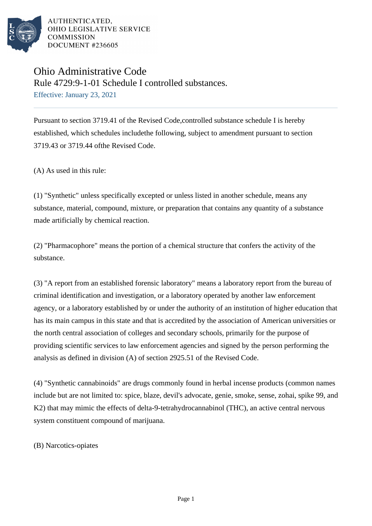

# Ohio Administrative Code Rule 4729:9-1-01 Schedule I controlled substances. Effective: January 23, 2021

Pursuant to section 3719.41 of the Revised Code,controlled substance schedule I is hereby established, which schedules includethe following, subject to amendment pursuant to section 3719.43 or 3719.44 ofthe Revised Code.

(A) As used in this rule:

(1) "Synthetic" unless specifically excepted or unless listed in another schedule, means any substance, material, compound, mixture, or preparation that contains any quantity of a substance made artificially by chemical reaction.

(2) "Pharmacophore" means the portion of a chemical structure that confers the activity of the substance.

(3) "A report from an established forensic laboratory" means a laboratory report from the bureau of criminal identification and investigation, or a laboratory operated by another law enforcement agency, or a laboratory established by or under the authority of an institution of higher education that has its main campus in this state and that is accredited by the association of American universities or the north central association of colleges and secondary schools, primarily for the purpose of providing scientific services to law enforcement agencies and signed by the person performing the analysis as defined in division  $(A)$  of section 2925.51 of the Revised Code.

(4) "Synthetic cannabinoids" are drugs commonly found in herbal incense products (common names include but are not limited to: spice, blaze, devil's advocate, genie, smoke, sense, zohai, spike 99, and K2) that may mimic the effects of delta-9-tetrahydrocannabinol (THC), an active central nervous system constituent compound of marijuana.

(B) Narcotics-opiates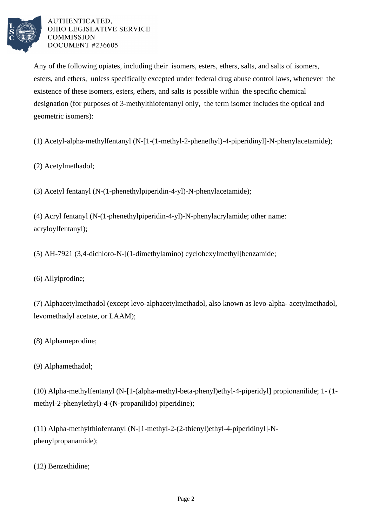

Any of the following opiates, including their isomers, esters, ethers, salts, and salts of isomers, esters, and ethers, unless specifically excepted under federal drug abuse control laws, whenever the existence of these isomers, esters, ethers, and salts is possible within the specific chemical designation (for purposes of 3-methylthiofentanyl only, the term isomer includes the optical and geometric isomers):

(1) Acetyl-alpha-methylfentanyl (N-[1-(1-methyl-2-phenethyl)-4-piperidinyl]-N-phenylacetamide);

(2) Acetylmethadol;

(3) Acetyl fentanyl (N-(1-phenethylpiperidin-4-yl)-N-phenylacetamide);

(4) Acryl fentanyl (N-(1-phenethylpiperidin-4-yl)-N-phenylacrylamide; other name: acryloylfentanyl);

(5) AH-7921 (3,4-dichloro-N-[(1-dimethylamino) cyclohexylmethyl]benzamide;

(6) Allylprodine;

(7) Alphacetylmethadol (except levo-alphacetylmethadol, also known as levo-alpha- acetylmethadol, levomethadyl acetate, or LAAM);

(8) Alphameprodine;

(9) Alphamethadol;

(10) Alpha-methylfentanyl (N-[1-(alpha-methyl-beta-phenyl)ethyl-4-piperidyl] propionanilide; 1- (1 methyl-2-phenylethyl)-4-(N-propanilido) piperidine);

(11) Alpha-methylthiofentanyl (N-[1-methyl-2-(2-thienyl)ethyl-4-piperidinyl]-Nphenylpropanamide);

(12) Benzethidine;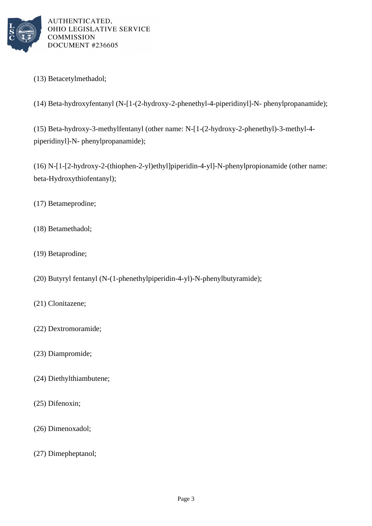

(13) Betacetylmethadol;

(14) Beta-hydroxyfentanyl (N-[1-(2-hydroxy-2-phenethyl-4-piperidinyl]-N- phenylpropanamide);

(15) Beta-hydroxy-3-methylfentanyl (other name: N-[1-(2-hydroxy-2-phenethyl)-3-methyl-4 piperidinyl]-N- phenylpropanamide);

(16) N-[1-[2-hydroxy-2-(thiophen-2-yl)ethyl]piperidin-4-yl]-N-phenylpropionamide (other name: beta-Hydroxythiofentanyl);

- (17) Betameprodine;
- (18) Betamethadol;
- (19) Betaprodine;
- (20) Butyryl fentanyl (N-(1-phenethylpiperidin-4-yl)-N-phenylbutyramide);
- (21) Clonitazene;
- (22) Dextromoramide;
- (23) Diampromide;
- (24) Diethylthiambutene;
- (25) Difenoxin;
- (26) Dimenoxadol;
- (27) Dimepheptanol;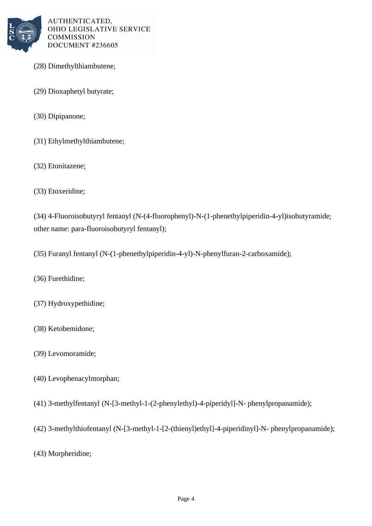

- (28) Dimethylthiambutene;
- (29) Dioxaphetyl butyrate;
- (30) Dipipanone;
- (31) Ethylmethylthiambutene;
- (32) Etonitazene;
- (33) Etoxeridine;

(34) 4-Fluoroisobutyryl fentanyl (N-(4-fluorophenyl)-N-(1-phenethylpiperidin-4-yl)isobutyramide; other name: para-fluoroisobutyryl fentanyl);

(35) Furanyl fentanyl (N-(1-phenethylpiperidin-4-yl)-N-phenylfuran-2-carboxamide);

- (36) Furethidine;
- (37) Hydroxypethidine;
- (38) Ketobemidone;
- (39) Levomoramide;
- (40) Levophenacylmorphan;
- (41) 3-methylfentanyl (N-[3-methyl-1-(2-phenylethyl)-4-piperidyl]-N- phenylpropanamide);
- (42) 3-methylthiofentanyl (N-[3-methyl-1-[2-(thienyl)ethyl]-4-piperidinyl]-N- phenylpropanamide);
- (43) Morpheridine;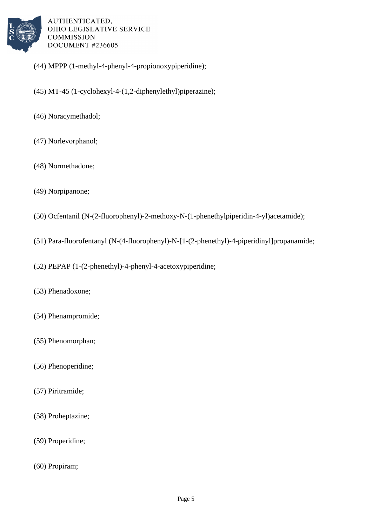

- (44) MPPP (1-methyl-4-phenyl-4-propionoxypiperidine);
- (45) MT-45 (1-cyclohexyl-4-(1,2-diphenylethyl)piperazine);
- (46) Noracymethadol;
- (47) Norlevorphanol;
- (48) Normethadone;
- (49) Norpipanone;
- (50) Ocfentanil  $(N-(2-fluorophenyl)-2-methoxy-N-(1-phenethylpiperidin-4-yl)acetamide);$
- (51) Para-fluorofentanyl (N-(4-fluorophenyl)-N-[1-(2-phenethyl)-4-piperidinyl]propanamide;
- (52) PEPAP (1-(2-phenethyl)-4-phenyl-4-acetoxypiperidine;
- (53) Phenadoxone;
- (54) Phenampromide;
- (55) Phenomorphan;
- (56) Phenoperidine;
- (57) Piritramide;
- (58) Proheptazine;
- (59) Properidine;
- (60) Propiram;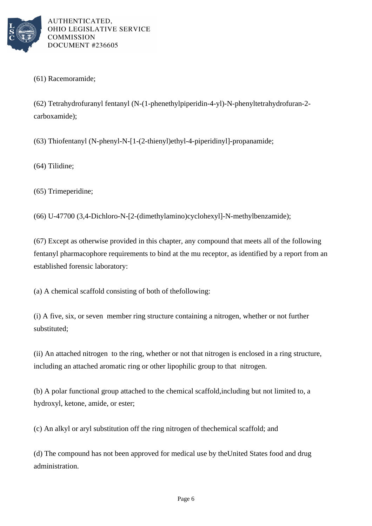

#### (61) Racemoramide;

(62) Tetrahydrofuranyl fentanyl (N-(1-phenethylpiperidin-4-yl)-N-phenyltetrahydrofuran-2 carboxamide);

(63) Thiofentanyl (N-phenyl-N-[1-(2-thienyl)ethyl-4-piperidinyl]-propanamide;

(64) Tilidine;

(65) Trimeperidine;

(66) U-47700 (3,4-Dichloro-N-[2-(dimethylamino)cyclohexyl]-N-methylbenzamide);

 $(67)$  Except as otherwise provided in this chapter, any compound that meets all of the following fentanyl pharmacophore requirements to bind at the mu receptor, as identified by a report from an established forensic laboratory:

(a) A chemical scaffold consisting of both of the following:

(i) A five, six, or seven member ring structure containing a nitrogen, whether or not further substituted;

(ii) An attached nitrogen to the ring, whether or not that nitrogen is enclosed in a ring structure, including an attached aromatic ring or other lipophilic group to that nitrogen.

(b) A polar functional group attached to the chemical scaffold, including but not limited to, a hydroxyl, ketone, amide, or ester;

(c) An alkyl or aryl substitution off the ring nitrogen of the chemical scaffold; and

(d) The compound has not been approved for medical use by the United States food and drug administration.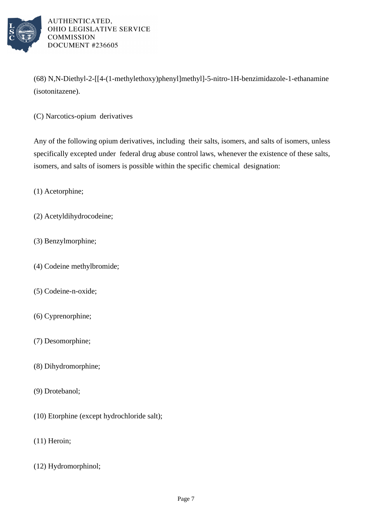

(68) N,N-Diethyl-2-[[4-(1-methylethoxy)phenyl]methyl]-5-nitro-1H-benzimidazole-1-ethanamine (isotonitazene).

(C) Narcotics-opium derivatives

Any of the following opium derivatives, including their salts, isomers, and salts of isomers, unless specifically excepted under federal drug abuse control laws, whenever the existence of these salts, isomers, and salts of isomers is possible within the specific chemical designation:

(1) Acetorphine;

- (2) Acetyldihydrocodeine;
- (3) Benzylmorphine;
- (4) Codeine methylbromide;
- (5) Codeine-n-oxide;
- (6) Cyprenorphine;
- (7) Desomorphine;
- (8) Dihydromorphine;
- (9) Drotebanol;
- (10) Etorphine (except hydrochloride salt);
- (11) Heroin;
- (12) Hydromorphinol;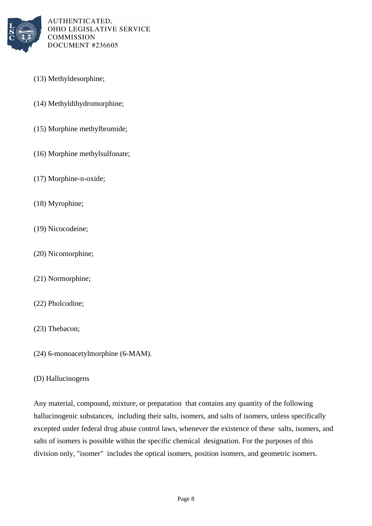

- (13) Methyldesorphine;
- (14) Methyldihydromorphine;
- (15) Morphine methylbromide;
- $(16)$  Morphine methylsulfonate;
- (17) Morphine-n-oxide;
- (18) Myrophine;
- (19) Nicocodeine;
- (20) Nicomorphine;
- (21) Normorphine;
- (22) Pholcodine;
- (23) Thebacon;
- $(24)$  6-monoacetylmorphine  $(6-MAM)$ .

## (D) Hallucinogens

Any material, compound, mixture, or preparation that contains any quantity of the following hallucinogenic substances, including their salts, isomers, and salts of isomers, unless specifically excepted under federal drug abuse control laws, whenever the existence of these salts, isomers, and salts of isomers is possible within the specific chemical designation. For the purposes of this division only, "isomer" includes the optical isomers, position isomers, and geometric isomers.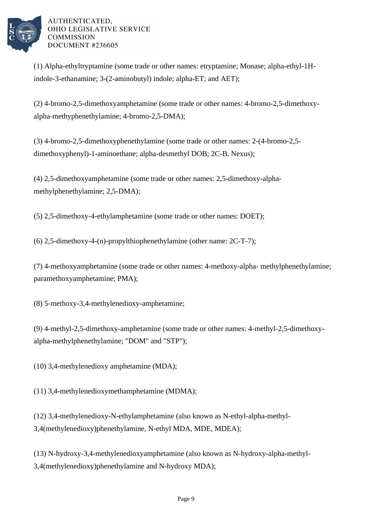

(1) Alpha-ethyltryptamine (some trade or other names: etryptamine; Monase; alpha-ethyl-1Hindole-3-ethanamine; 3-(2-aminobutyl) indole; alpha-ET; and AET);

(2) 4-bromo-2,5-dimethoxyamphetamine (some trade or other names: 4-bromo-2,5-dimethoxyalpha-methyphenethylamine; 4-bromo-2,5-DMA);

(3) 4-bromo-2,5-dimethoxyphenethylamine (some trade or other names: 2-(4-bromo-2,5 dimethoxyphenyl)-1-aminoethane; alpha-desmethyl DOB; 2C-B, Nexus);

(4) 2,5-dimethoxyamphetamine (some trade or other names: 2,5-dimethoxy-alphamethylphenethylamine; 2,5-DMA);

(5) 2,5-dimethoxy-4-ethylamphetamine (some trade or other names: DOET);

(6) 2,5-dimethoxy-4-(n)-propylthiophenethylamine (other name:  $2C-T-7$ );

(7) 4-methoxyamphetamine (some trade or other names: 4-methoxy-alpha- methylphenethylamine; paramethoxyamphetamine; PMA);

(8) 5-methoxy-3,4-methylenedioxy-amphetamine;

(9) 4-methyl-2,5-dimethoxy-amphetamine (some trade or other names: 4-methyl-2,5-dimethoxyalpha-methylphenethylamine; "DOM" and "STP");

(10) 3,4-methylenedioxy amphetamine (MDA);

(11) 3,4-methylenedioxymethamphetamine (MDMA);

(12) 3,4-methylenedioxy-N-ethylamphetamine (also known as N-ethyl-alpha-methyl-3,4(methylenedioxy)phenethylamine, N-ethyl MDA, MDE, MDEA);

(13) N-hydroxy-3,4-methylenedioxyamphetamine (also known as N-hydroxy-alpha-methyl-3,4(methylenedioxy)phenethylamine and N-hydroxy MDA);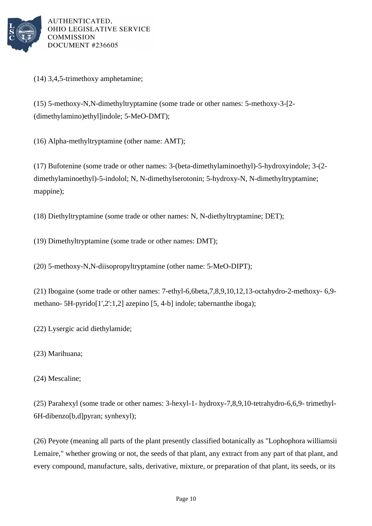

(14) 3,4,5-trimethoxy amphetamine;

(15) 5-methoxy-N,N-dimethyltryptamine (some trade or other names: 5-methoxy-3-[2- (dimethylamino)ethyl]indole; 5-MeO-DMT);

(16) Alpha-methyltryptamine (other name: AMT);

(17) Bufotenine (some trade or other names: 3-(beta-dimethylaminoethyl)-5-hydroxyindole; 3-(2 dimethylaminoethyl)-5-indolol; N, N-dimethylserotonin; 5-hydroxy-N, N-dimethyltryptamine; mappine);

 $(18)$  Diethyltryptamine (some trade or other names: N, N-diethyltryptamine; DET);

(19) Dimethyltryptamine (some trade or other names: DMT);

(20) 5-methoxy-N,N-diisopropyltryptamine (other name: 5-MeO-DIPT);

(21) Ibogaine (some trade or other names: 7-ethyl-6,6beta,7,8,9,10,12,13-octahydro-2-methoxy- $6,9$ methano- 5H-pyrido[1',2':1,2] azepino [5, 4-b] indole; tabernanthe iboga);

(22) Lysergic acid diethylamide;

(23) Marihuana;

(24) Mescaline;

(25) Parahexyl (some trade or other names:  $3$ -hexyl-1- hydroxy-7,8,9,10-tetrahydro-6,6,9- trimethyl-6H-dibenzo[b,d]pyran; synhexyl);

(26) Peyote (meaning all parts of the plant presently classified botanically as "Lophophora williamsii Lemaire," whether growing or not, the seeds of that plant, any extract from any part of that plant, and every compound, manufacture, salts, derivative, mixture, or preparation of that plant, its seeds, or its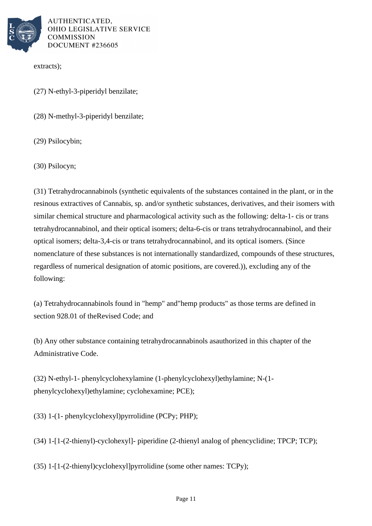

extracts);

(27) N-ethyl-3-piperidyl benzilate;

(28) N-methyl-3-piperidyl benzilate;

(29) Psilocybin;

(30) Psilocyn;

(31) Tetrahydrocannabinols (synthetic equivalents of the substances contained in the plant, or in the resinous extractives of Cannabis, sp. and/or synthetic substances, derivatives, and their isomers with similar chemical structure and pharmacological activity such as the following: delta-1- cis or trans tetrahydrocannabinol, and their optical isomers; delta-6-cis or trans tetrahydrocannabinol, and their optical isomers; delta-3,4-cis or trans tetrahydrocannabinol, and its optical isomers. (Since nomenclature of these substances is not internationally standardized, compounds of these structures, regardless of numerical designation of atomic positions, are covered.)), excluding any of the following:

(a) Tetrahydrocannabinols found in "hemp" and "hemp products" as those terms are defined in section 928.01 of the Revised Code; and

(b) Any other substance containing tetrahydrocannabinols as authorized in this chapter of the Administrative Code.

(32) N-ethyl-1- phenylcyclohexylamine (1-phenylcyclohexyl)ethylamine; N-(1phenylcyclohexyl)ethylamine; cyclohexamine; PCE);

 $(33)$  1-(1- phenylcyclohexyl)pyrrolidine (PCPy; PHP);

 $(34)$  1-[1-(2-thienyl)-cyclohexyl]- piperidine (2-thienyl analog of phencyclidine; TPCP; TCP);

(35) 1- $[1-(2-thienyl)$ cyclohexyl]pyrrolidine (some other names:  $TCPy)$ ;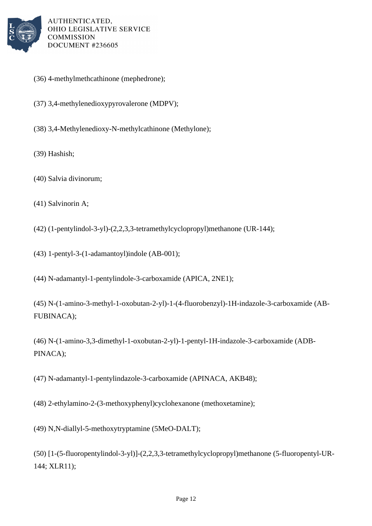

- (36) 4-methylmethcathinone (mephedrone);
- (37) 3,4-methylenedioxypyrovalerone (MDPV);
- (38) 3,4-Methylenedioxy-N-methylcathinone (Methylone);
- (39) Hashish;
- (40) Salvia divinorum;
- $(41)$  Salvinorin A;
- $(42)$  (1-pentylindol-3-yl)- $(2,2,3,3$ -tetramethylcyclopropyl)methanone  $(UR-144);$
- (43) 1-pentyl-3-(1-adamantoyl)indole (AB-001);
- (44) N-adamantyl-1-pentylindole-3-carboxamide (APICA, 2NE1);
- (45) N-(1-amino-3-methyl-1-oxobutan-2-yl)-1-(4-fluorobenzyl)-1H-indazole-3-carboxamide (AB-FUBINACA);
- (46) N-(1-amino-3,3-dimethyl-1-oxobutan-2-yl)-1-pentyl-1H-indazole-3-carboxamide (ADB-PINACA);

(47) N-adamantyl-1-pentylindazole-3-carboxamide (APINACA, AKB48);

(48) 2-ethylamino-2-(3-methoxyphenyl)cyclohexanone (methoxetamine);

- (49) N,N-diallyl-5-methoxytryptamine (5MeO-DALT);
- (50) [1-(5-fluoropentylindol-3-yl)]-(2,2,3,3-tetramethylcyclopropyl)methanone (5-fluoropentyl-UR-144; XLR11);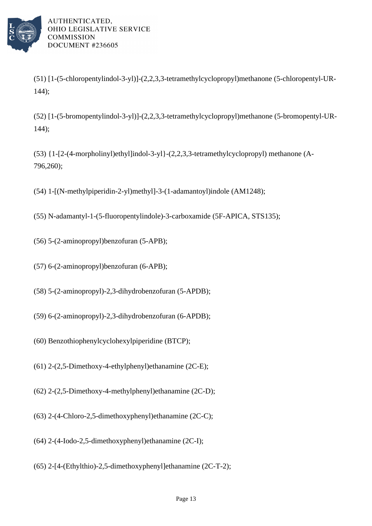

- $(51)$  [1-(5-chloropentylindol-3-yl)]-(2,2,3,3-tetramethylcyclopropyl)methanone  $(5$ -chloropentyl-UR-144);
- $(52)$  [1-(5-bromopentylindol-3-yl)]- $(2,2,3,3$ -tetramethylcyclopropyl)methanone  $(5$ -bromopentyl-UR-144);
- (53)  $\{1-[2-(4-morphism] \to \text{thy1}] \text{indol-3-y1}\}-(2,2,3,3-tetramethylcyclopropyl)$  methanone (A-796,260);
- (54) 1- $[N$ -methylpiperidin-2-yl)methyl]-3-(1-adamantoyl)indole (AM1248);
- (55) N-adamantyl-1-(5-fluoropentylindole)-3-carboxamide (5F-APICA, STS135);
- (56) 5-(2-aminopropyl)benzofuran (5-APB);
- (57) 6-(2-aminopropyl)benzofuran (6-APB);
- (58) 5-(2-aminopropyl)-2,3-dihydrobenzofuran (5-APDB);
- $(59)$  6- $(2$ -aminopropyl $)$ -2,3-dihydrobenzofuran $(6$ -APDB);
- (60) Benzothiophenylcyclohexylpiperidine (BTCP);
- (61) 2-(2,5-Dimethoxy-4-ethylphenyl)ethanamine  $(2C-E)$ ;
- (62) 2-(2,5-Dimethoxy-4-methylphenyl)ethanamine  $(2C-D);$
- (63) 2-(4-Chloro-2,5-dimethoxyphenyl)ethanamine  $(2C-C)$ ;
- (64) 2-(4-Iodo-2,5-dimethoxyphenyl)ethanamine (2C-I);
- $(65)$  2-[4-(Ethylthio)-2,5-dimethoxyphenyl]ethanamine  $(2C-T-2)$ ;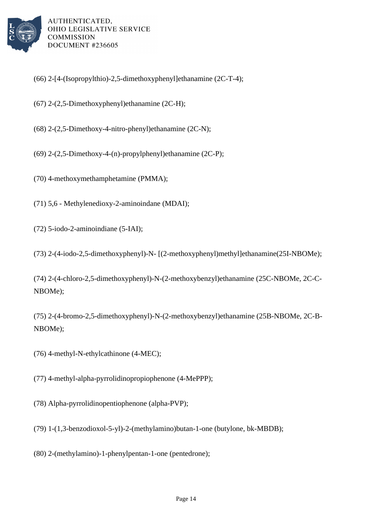

- $(66)$  2-[4-(Isopropylthio)-2,5-dimethoxyphenyl]ethanamine  $(2C-T-4)$ ;
- (67) 2-(2,5-Dimethoxyphenyl)ethanamine (2C-H);
- (68) 2-(2,5-Dimethoxy-4-nitro-phenyl)ethanamine  $(2C-N);$
- (69) 2-(2,5-Dimethoxy-4-(n)-propylphenyl)ethanamine  $(2C-P)$ ;
- (70) 4-methoxymethamphetamine (PMMA);
- (71)  $5,6$  Methylenedioxy-2-aminoindane (MDAI);
- (72) 5-iodo-2-aminoindiane (5-IAI);

(73) 2-(4-iodo-2,5-dimethoxyphenyl)-N- [(2-methoxyphenyl)methyl]ethanamine(25I-NBOMe);

(74) 2-(4-chloro-2,5-dimethoxyphenyl)-N-(2-methoxybenzyl)ethanamine (25C-NBOMe, 2C-C-NBOMe);

(75) 2-(4-bromo-2,5-dimethoxyphenyl)-N-(2-methoxybenzyl)ethanamine (25B-NBOMe, 2C-B-NBOMe);

(76) 4-methyl-N-ethylcathinone (4-MEC);

(77) 4-methyl-alpha-pyrrolidinopropiophenone (4-MePPP);

- (78) Alpha-pyrrolidinopentiophenone (alpha-PVP);
- (79) 1- $(1,3$ -benzodioxol-5-yl)-2-(methylamino)butan-1-one (butylone, bk-MBDB);
- (80) 2-(methylamino)-1-phenylpentan-1-one (pentedrone);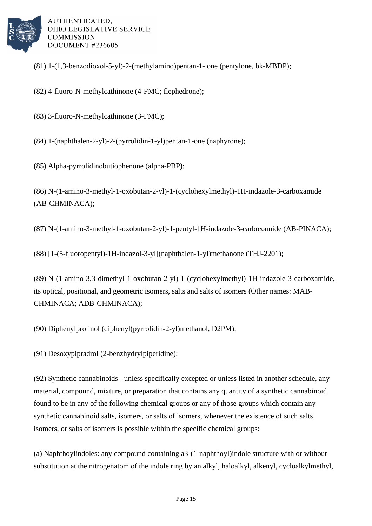

- $(81)$  1-(1,3-benzodioxol-5-yl)-2-(methylamino)pentan-1- one (pentylone, bk-MBDP);
- (82) 4-fluoro-N-methylcathinone (4-FMC; flephedrone);
- (83) 3-fluoro-N-methylcathinone (3-FMC);
- $(84)$  1-(naphthalen-2-yl)-2-(pyrrolidin-1-yl)pentan-1-one (naphyrone);
- (85) Alpha-pyrrolidinobutiophenone (alpha-PBP);
- (86) N-(1-amino-3-methyl-1-oxobutan-2-yl)-1-(cyclohexylmethyl)-1H-indazole-3-carboxamide (AB-CHMINACA);
- (87) N-(1-amino-3-methyl-1-oxobutan-2-yl)-1-pentyl-1H-indazole-3-carboxamide (AB-PINACA);
- (88) [1-(5-fluoropentyl)-1H-indazol-3-yl](naphthalen-1-yl)methanone (THJ-2201);
- (89) N-(1-amino-3,3-dimethyl-1-oxobutan-2-yl)-1-(cyclohexylmethyl)-1H-indazole-3-carboxamide, its optical, positional, and geometric isomers, salts and salts of isomers (Other names: MAB-CHMINACA; ADB-CHMINACA);
- (90) Diphenylprolinol (diphenyl(pyrrolidin-2-yl)methanol, D2PM);
- (91) Desoxypipradrol (2-benzhydrylpiperidine);
- (92) Synthetic cannabinoids unless specifically excepted or unless listed in another schedule, any material, compound, mixture, or preparation that contains any quantity of a synthetic cannabinoid found to be in any of the following chemical groups or any of those groups which contain any synthetic cannabinoid salts, isomers, or salts of isomers, whenever the existence of such salts, isomers, or salts of isomers is possible within the specific chemical groups:
- (a) Naphthoylindoles: any compound containing a 3-(1-naphthoyl)indole structure with or without substitution at the nitrogen atom of the indole ring by an alkyl, haloalkyl, alkenyl, cycloalkylmethyl,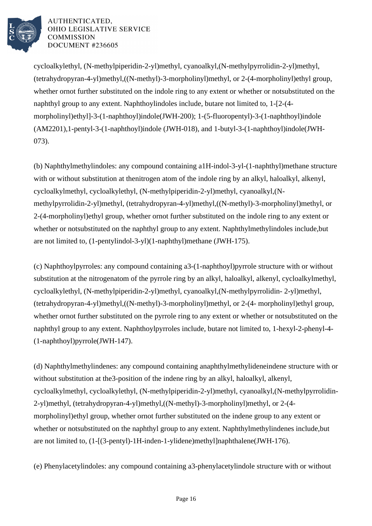

cycloalkylethyl, (N-methylpiperidin-2-yl)methyl, cyanoalkyl, (N-methylpyrrolidin-2-yl)methyl,  $(tetrahydropyran-4-yl)$ methyl,  $((N-methyl)-3-morpholinyl)$ methyl, or 2- $(4-morpholinyl)ethyl$ ethyl group, whether or not further substituted on the indole ring to any extent or whether or not substituted on the naphthyl group to any extent. Naphthoylindoles include, but are not limited to,  $1-[2-(4-1)]$ morpholinyl)ethyl]-3-(1-naphthoyl)indole (JWH-200); 1-(5-fluoropentyl)-3-(1-naphthoyl)indole  $(AM2201)$ , 1-pentyl-3-(1-naphthoyl)indole (JWH-018), and 1-butyl-3-(1-naphthoyl)indole (JWH-073).

(b) Naphthylmethylindoles: any compound containing a 1H-indol-3-yl-(1-naphthyl)methane structure with or without substitution at the nitrogen atom of the indole ring by an alkyl, haloalkyl, alkenyl, cycloalkylmethyl, cycloalkylethyl, (N-methylpiperidin-2-yl)methyl, cyanoalkyl, (Nmethylpyrrolidin-2-yl)methyl, (tetrahydropyran-4-yl)methyl, ((N-methyl)-3-morpholinyl)methyl, or 2-(4-morpholinyl)ethyl group, whether or not further substituted on the indole ring to any extent or whether or not substituted on the naphthyl group to any extent. Naphthylmethylindoles include, but are not limited to, (1-pentylindol-3-yl)(1-naphthyl)methane (JWH-175). 

(c) Naphthoylpyrroles: any compound containing a 3-(1-naphthoyl)pyrrole structure with or without substitution at the nitrogen atom of the pyrrole ring by an alkyl, haloalkyl, alkenyl, cycloalkylmethyl, cycloalkylethyl, (N-methylpiperidin-2-yl)methyl, cyanoalkyl, (N-methylpyrrolidin- 2-yl)methyl, (tetrahydropyran-4-yl)methyl, ((N-methyl)-3-morpholinyl)methyl, or 2-(4- morpholinyl)ethyl group, whether or not further substituted on the pyrrole ring to any extent or whether or not substituted on the naphthyl group to any extent. Naphthoylpyrroles include, but are not limited to, 1-hexyl-2-phenyl-4- $(1$ -naphthoyl)pyrrole  $(JWH-147)$ .

(d) Naphthylmethylindenes: any compound containing a naphthylmethylideneindene structure with or without substitution at the 3-position of the indene ring by an alkyl, haloalkyl, alkenyl, cycloalkylmethyl, cycloalkylethyl, (N-methylpiperidin-2-yl)methyl, cyanoalkyl, (N-methylpyrrolidin-2-yl)methyl, (tetrahydropyran-4-yl)methyl, ((N-methyl)-3-morpholinyl)methyl, or 2-(4morpholinyl)ethyl group, whether or not further substituted on the indene group to any extent or whether or not substituted on the naphthyl group to any extent. Naphthylmethylindenes include, but are not limited to,  $(1-[3-pentyl)-1H-inden-1-ylidene)$ methyl $[naphthalene (JWH-176)$ .

(e) Phenylacetylindoles: any compound containing a 3-phenylacetylindole structure with or without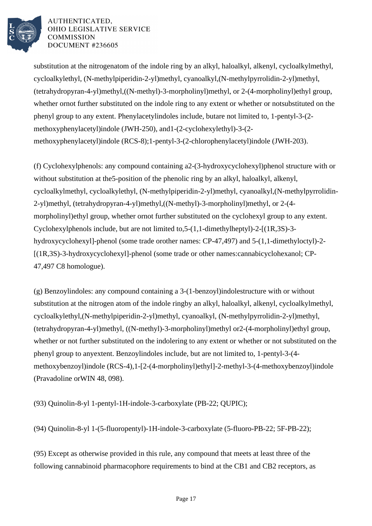

substitution at the nitrogen atom of the indole ring by an alkyl, haloalkyl, alkenyl, cycloalkylmethyl, cycloalkylethyl, (N-methylpiperidin-2-yl)methyl, cyanoalkyl, (N-methylpyrrolidin-2-yl)methyl, (tetrahydropyran-4-yl)methyl, ((N-methyl)-3-morpholinyl)methyl, or 2-(4-morpholinyl)ethyl group, whether or not further substituted on the indole ring to any extent or whether or not substituted on the phenyl group to any extent. Phenylacetylindoles include, but are not limited to, 1-pentyl-3-(2 methoxyphenylacetyl)indole (JWH-250), and 1-(2-cyclohexylethyl)-3-(2 methoxyphenylacetyl)indole (RCS-8); 1-pentyl-3-(2-chlorophenylacetyl)indole (JWH-203).

(f) Cyclohexylphenols: any compound containing a 2-(3-hydroxycyclohexyl)phenol structure with or without substitution at the 5-position of the phenolic ring by an alkyl, haloalkyl, alkenyl, cycloalkylmethyl, cycloalkylethyl, (N-methylpiperidin-2-yl)methyl, cyanoalkyl, (N-methylpyrrolidin-2-yl)methyl, (tetrahydropyran-4-yl)methyl, ((N-methyl)-3-morpholinyl)methyl, or 2-(4morpholinyl)ethyl group, whether or not further substituted on the cyclohexyl group to any extent. Cyclohexylphenols include, but are not limited to, 5-(1,1-dimethylheptyl)-2-[(1R,3S)-3 hydroxycyclohexyl]-phenol (some trade or other names: CP-47,497) and 5-(1,1-dimethyloctyl)-2- $[(1R,3S)-3-hydroxycyclohexy1]-phenol (some trade or other names: canna bicyclohexarol; CP-$ 47,497 C8 homologue).

 $(g)$  Benzoylindoles: any compound containing a 3-(1-benzoyl) indole structure with or without substitution at the nitrogen atom of the indole ring by an alkyl, haloalkyl, alkenyl, cycloalkylmethyl, cycloalkylethyl, (N-methylpiperidin-2-yl)methyl, cyanoalkyl, (N-methylpyrrolidin-2-yl)methyl, (tetrahydropyran-4-yl)methyl, ((N-methyl)-3-morpholinyl)methyl or 2-(4-morpholinyl)ethyl group, whether or not further substituted on the indole ring to any extent or whether or not substituted on the phenyl group to any extent. Benzoylindoles include, but are not limited to, 1-pentyl-3-(4 methoxybenzoyl)indole (RCS-4), 1-[2-(4-morpholinyl)ethyl]-2-methyl-3-(4-methoxybenzoyl)indole (Pravadoline or WIN 48, 098).

(93) Quinolin-8-yl 1-pentyl-1H-indole-3-carboxylate (PB-22; QUPIC);

(94) Quinolin-8-yl 1-(5-fluoropentyl)-1H-indole-3-carboxylate (5-fluoro-PB-22; 5F-PB-22);

(95) Except as otherwise provided in this rule, any compound that meets at least three of the following cannabinoid pharmacophore requirements to bind at the CB1 and CB2 receptors, as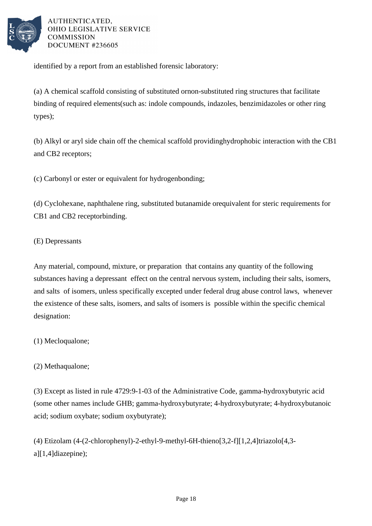

identified by a report from an established forensic laboratory:

(a) A chemical scaffold consisting of substituted or non-substituted ring structures that facilitate binding of required elements (such as: indole compounds, indazoles, benzimidazoles or other ring types);

(b) Alkyl or aryl side chain off the chemical scaffold providing hydrophobic interaction with the CB1 and CB2 receptors;

(c) Carbonyl or ester or equivalent for hydrogen bonding;

(d) Cyclohexane, naphthalene ring, substituted butanamide or equivalent for steric requirements for CB1 and CB2 receptor binding.

## (E) Depressants

Any material, compound, mixture, or preparation that contains any quantity of the following substances having a depressant effect on the central nervous system, including their salts, isomers, and salts of isomers, unless specifically excepted under federal drug abuse control laws, whenever the existence of these salts, isomers, and salts of isomers is possible within the specific chemical designation:

# (1) Mecloqualone;

# (2) Methaqualone;

(3) Except as listed in rule 4729:9-1-03 of the Administrative Code, gamma-hydroxybutyric acid (some other names include GHB; gamma-hydroxybutyrate; 4-hydroxybutyrate; 4-hydroxybutanoic acid; sodium oxybate; sodium oxybutyrate);

(4) Etizolam  $(4-(2-chlorophenyl)-2-ethyl-9-methyl-6H-thieno[3,2-f][1,2,4]triazolo[4,3-d)$ a][1,4]diazepine);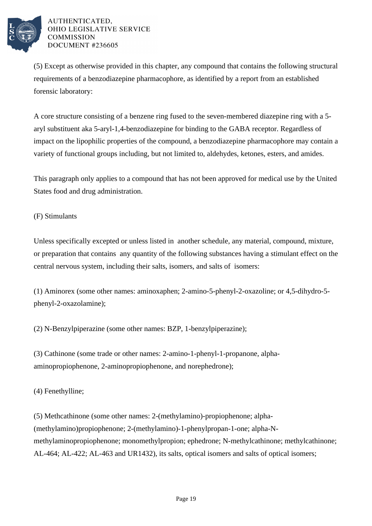

(5) Except as otherwise provided in this chapter, any compound that contains the following structural requirements of a benzodiazepine pharmacophore, as identified by a report from an established forensic laboratory:

A core structure consisting of a benzene ring fused to the seven-membered diazepine ring with a 5aryl substituent aka 5-aryl-1,4-benzodiazepine for binding to the GABA receptor. Regardless of impact on the lipophilic properties of the compound, a benzodiazepine pharmacophore may contain a variety of functional groups including, but not limited to, aldehydes, ketones, esters, and amides.

This paragraph only applies to a compound that has not been approved for medical use by the United States food and drug administration.

## (F) Stimulants

Unless specifically excepted or unless listed in another schedule, any material, compound, mixture, or preparation that contains any quantity of the following substances having a stimulant effect on the central nervous system, including their salts, isomers, and salts of isomers:

(1) Aminorex (some other names: aminoxaphen; 2-amino-5-phenyl-2-oxazoline; or 4,5-dihydro-5phenyl-2-oxazolamine);

(2) N-Benzylpiperazine (some other names: BZP, 1-benzylpiperazine);

(3) Cathinone (some trade or other names: 2-amino-1-phenyl-1-propanone, alphaaminopropiophenone, 2-aminopropiophenone, and norephedrone);

(4) Fenethylline;

(5) Methcathinone (some other names: 2-(methylamino)-propiophenone; alpha- (methylamino)propiophenone; 2-(methylamino)-1-phenylpropan-1-one; alpha-Nmethylaminopropiophenone; monomethylpropion; ephedrone; N-methylcathinone; methylcathinone; AL-464; AL-422; AL-463 and UR1432), its salts, optical isomers and salts of optical isomers;